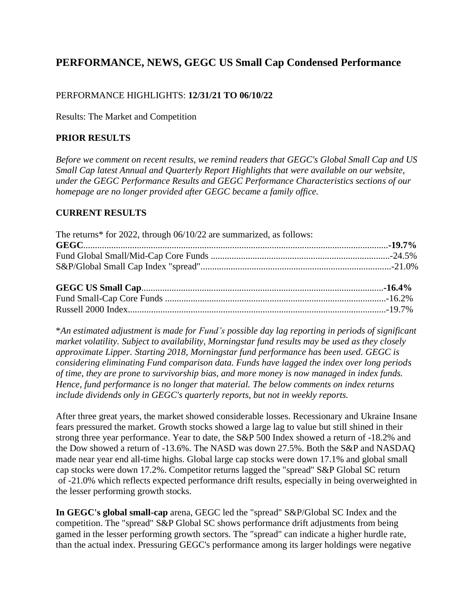# **PERFORMANCE, NEWS, GEGC US Small Cap Condensed Performance**

#### PERFORMANCE HIGHLIGHTS: **12/31/21 TO 06/10/22**

Results: The Market and Competition

#### **PRIOR RESULTS**

*Before we comment on recent results, we remind readers that GEGC's Global Small Cap and US Small Cap latest Annual and Quarterly Report Highlights that were available on our website, under the GEGC Performance Results and GEGC Performance Characteristics sections of our homepage are no longer provided after GEGC became a family office.*

#### **CURRENT RESULTS**

| The returns* for 2022, through 06/10/22 are summarized, as follows: |  |
|---------------------------------------------------------------------|--|
|                                                                     |  |
|                                                                     |  |
|                                                                     |  |
|                                                                     |  |
|                                                                     |  |
|                                                                     |  |

\**An estimated adjustment is made for Fund's possible day lag reporting in periods of significant market volatility. Subject to availability, Morningstar fund results may be used as they closely approximate Lipper. Starting 2018, Morningstar fund performance has been used. GEGC is considering eliminating Fund comparison data. Funds have lagged the index over long periods of time, they are prone to survivorship bias, and more money is now managed in index funds. Hence, fund performance is no longer that material. The below comments on index returns include dividends only in GEGC's quarterly reports, but not in weekly reports.*

After three great years, the market showed considerable losses. Recessionary and Ukraine Insane fears pressured the market. Growth stocks showed a large lag to value but still shined in their strong three year performance. Year to date, the S&P 500 Index showed a return of -18.2% and the Dow showed a return of -13.6%. The NASD was down 27.5%. Both the S&P and NASDAQ made near year end all-time highs. Global large cap stocks were down 17.1% and global small cap stocks were down 17.2%. Competitor returns lagged the "spread" S&P Global SC return of -21.0% which reflects expected performance drift results, especially in being overweighted in the lesser performing growth stocks.

**In GEGC's global small-cap** arena, GEGC led the "spread" S&P/Global SC Index and the competition. The "spread" S&P Global SC shows performance drift adjustments from being gamed in the lesser performing growth sectors. The "spread" can indicate a higher hurdle rate, than the actual index. Pressuring GEGC's performance among its larger holdings were negative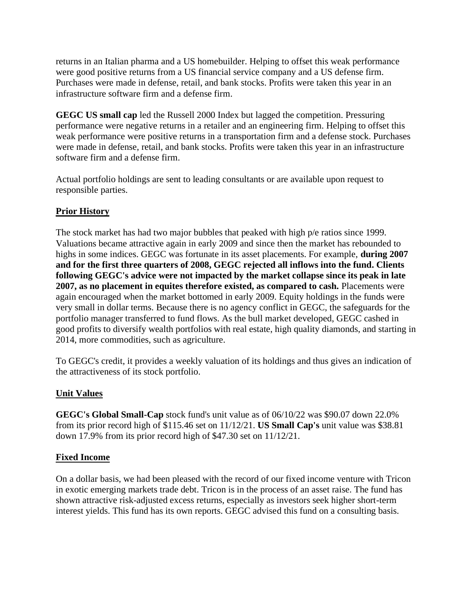returns in an Italian pharma and a US homebuilder. Helping to offset this weak performance were good positive returns from a US financial service company and a US defense firm. Purchases were made in defense, retail, and bank stocks. Profits were taken this year in an infrastructure software firm and a defense firm.

**GEGC US small cap** led the Russell 2000 Index but lagged the competition. Pressuring performance were negative returns in a retailer and an engineering firm. Helping to offset this weak performance were positive returns in a transportation firm and a defense stock. Purchases were made in defense, retail, and bank stocks. Profits were taken this year in an infrastructure software firm and a defense firm.

Actual portfolio holdings are sent to leading consultants or are available upon request to responsible parties.

#### **Prior History**

The stock market has had two major bubbles that peaked with high p/e ratios since 1999. Valuations became attractive again in early 2009 and since then the market has rebounded to highs in some indices. GEGC was fortunate in its asset placements. For example, **during 2007 and for the first three quarters of 2008, GEGC rejected all inflows into the fund. Clients following GEGC's advice were not impacted by the market collapse since its peak in late 2007, as no placement in equites therefore existed, as compared to cash.** Placements were again encouraged when the market bottomed in early 2009. Equity holdings in the funds were very small in dollar terms. Because there is no agency conflict in GEGC, the safeguards for the portfolio manager transferred to fund flows. As the bull market developed, GEGC cashed in good profits to diversify wealth portfolios with real estate, high quality diamonds, and starting in 2014, more commodities, such as agriculture.

To GEGC's credit, it provides a weekly valuation of its holdings and thus gives an indication of the attractiveness of its stock portfolio.

#### **Unit Values**

**GEGC's Global Small-Cap** stock fund's unit value as of 06/10/22 was \$90.07 down 22.0% from its prior record high of \$115.46 set on 11/12/21. **US Small Cap's** unit value was \$38.81 down 17.9% from its prior record high of \$47.30 set on 11/12/21.

#### **Fixed Income**

On a dollar basis, we had been pleased with the record of our fixed income venture with Tricon in exotic emerging markets trade debt. Tricon is in the process of an asset raise. The fund has shown attractive risk-adjusted excess returns, especially as investors seek higher short-term interest yields. This fund has its own reports. GEGC advised this fund on a consulting basis.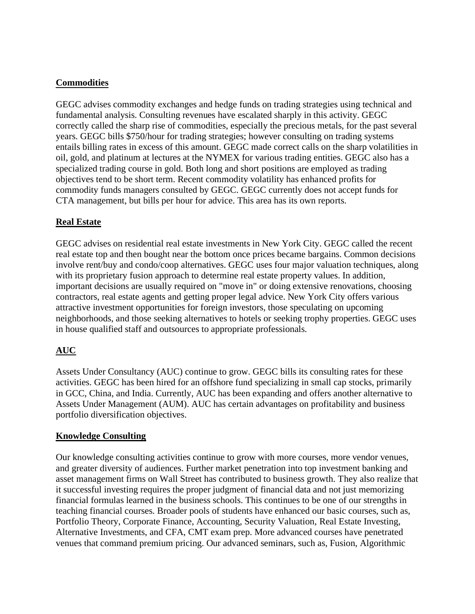#### **Commodities**

GEGC advises commodity exchanges and hedge funds on trading strategies using technical and fundamental analysis. Consulting revenues have escalated sharply in this activity. GEGC correctly called the sharp rise of commodities, especially the precious metals, for the past several years. GEGC bills \$750/hour for trading strategies; however consulting on trading systems entails billing rates in excess of this amount. GEGC made correct calls on the sharp volatilities in oil, gold, and platinum at lectures at the NYMEX for various trading entities. GEGC also has a specialized trading course in gold. Both long and short positions are employed as trading objectives tend to be short term. Recent commodity volatility has enhanced profits for commodity funds managers consulted by GEGC. GEGC currently does not accept funds for CTA management, but bills per hour for advice. This area has its own reports.

### **Real Estate**

GEGC advises on residential real estate investments in New York City. GEGC called the recent real estate top and then bought near the bottom once prices became bargains. Common decisions involve rent/buy and condo/coop alternatives. GEGC uses four major valuation techniques, along with its proprietary fusion approach to determine real estate property values. In addition, important decisions are usually required on "move in" or doing extensive renovations, choosing contractors, real estate agents and getting proper legal advice. New York City offers various attractive investment opportunities for foreign investors, those speculating on upcoming neighborhoods, and those seeking alternatives to hotels or seeking trophy properties. GEGC uses in house qualified staff and outsources to appropriate professionals.

## **AUC**

Assets Under Consultancy (AUC) continue to grow. GEGC bills its consulting rates for these activities. GEGC has been hired for an offshore fund specializing in small cap stocks, primarily in GCC, China, and India. Currently, AUC has been expanding and offers another alternative to Assets Under Management (AUM). AUC has certain advantages on profitability and business portfolio diversification objectives.

#### **Knowledge Consulting**

Our knowledge consulting activities continue to grow with more courses, more vendor venues, and greater diversity of audiences. Further market penetration into top investment banking and asset management firms on Wall Street has contributed to business growth. They also realize that it successful investing requires the proper judgment of financial data and not just memorizing financial formulas learned in the business schools. This continues to be one of our strengths in teaching financial courses. Broader pools of students have enhanced our basic courses, such as, Portfolio Theory, Corporate Finance, Accounting, Security Valuation, Real Estate Investing, Alternative Investments, and CFA, CMT exam prep. More advanced courses have penetrated venues that command premium pricing. Our advanced seminars, such as, Fusion, Algorithmic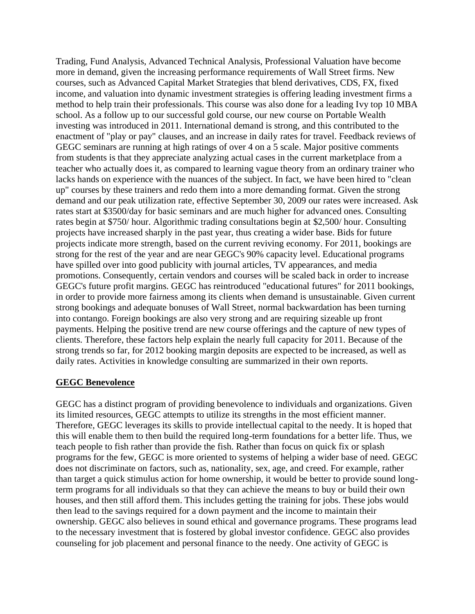Trading, Fund Analysis, Advanced Technical Analysis, Professional Valuation have become more in demand, given the increasing performance requirements of Wall Street firms. New courses, such as Advanced Capital Market Strategies that blend derivatives, CDS, FX, fixed income, and valuation into dynamic investment strategies is offering leading investment firms a method to help train their professionals. This course was also done for a leading Ivy top 10 MBA school. As a follow up to our successful gold course, our new course on Portable Wealth investing was introduced in 2011. International demand is strong, and this contributed to the enactment of "play or pay" clauses, and an increase in daily rates for travel. Feedback reviews of GEGC seminars are running at high ratings of over 4 on a 5 scale. Major positive comments from students is that they appreciate analyzing actual cases in the current marketplace from a teacher who actually does it, as compared to learning vague theory from an ordinary trainer who lacks hands on experience with the nuances of the subject. In fact, we have been hired to "clean up" courses by these trainers and redo them into a more demanding format. Given the strong demand and our peak utilization rate, effective September 30, 2009 our rates were increased. Ask rates start at \$3500/day for basic seminars and are much higher for advanced ones. Consulting rates begin at \$750/ hour. Algorithmic trading consultations begin at \$2,500/ hour. Consulting projects have increased sharply in the past year, thus creating a wider base. Bids for future projects indicate more strength, based on the current reviving economy. For 2011, bookings are strong for the rest of the year and are near GEGC's 90% capacity level. Educational programs have spilled over into good publicity with journal articles, TV appearances, and media promotions. Consequently, certain vendors and courses will be scaled back in order to increase GEGC's future profit margins. GEGC has reintroduced "educational futures" for 2011 bookings, in order to provide more fairness among its clients when demand is unsustainable. Given current strong bookings and adequate bonuses of Wall Street, normal backwardation has been turning into contango. Foreign bookings are also very strong and are requiring sizeable up front payments. Helping the positive trend are new course offerings and the capture of new types of clients. Therefore, these factors help explain the nearly full capacity for 2011. Because of the strong trends so far, for 2012 booking margin deposits are expected to be increased, as well as daily rates. Activities in knowledge consulting are summarized in their own reports.

#### **GEGC Benevolence**

GEGC has a distinct program of providing benevolence to individuals and organizations. Given its limited resources, GEGC attempts to utilize its strengths in the most efficient manner. Therefore, GEGC leverages its skills to provide intellectual capital to the needy. It is hoped that this will enable them to then build the required long-term foundations for a better life. Thus, we teach people to fish rather than provide the fish. Rather than focus on quick fix or splash programs for the few, GEGC is more oriented to systems of helping a wider base of need. GEGC does not discriminate on factors, such as, nationality, sex, age, and creed. For example, rather than target a quick stimulus action for home ownership, it would be better to provide sound longterm programs for all individuals so that they can achieve the means to buy or build their own houses, and then still afford them. This includes getting the training for jobs. These jobs would then lead to the savings required for a down payment and the income to maintain their ownership. GEGC also believes in sound ethical and governance programs. These programs lead to the necessary investment that is fostered by global investor confidence. GEGC also provides counseling for job placement and personal finance to the needy. One activity of GEGC is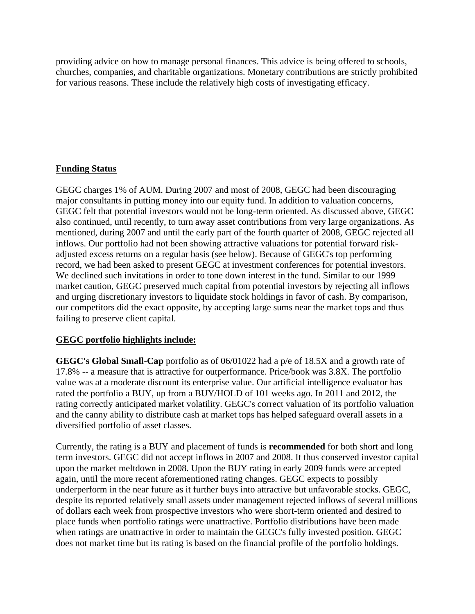providing advice on how to manage personal finances. This advice is being offered to schools, churches, companies, and charitable organizations. Monetary contributions are strictly prohibited for various reasons. These include the relatively high costs of investigating efficacy.

### **Funding Status**

GEGC charges 1% of AUM. During 2007 and most of 2008, GEGC had been discouraging major consultants in putting money into our equity fund. In addition to valuation concerns, GEGC felt that potential investors would not be long-term oriented. As discussed above, GEGC also continued, until recently, to turn away asset contributions from very large organizations. As mentioned, during 2007 and until the early part of the fourth quarter of 2008, GEGC rejected all inflows. Our portfolio had not been showing attractive valuations for potential forward riskadjusted excess returns on a regular basis (see below). Because of GEGC's top performing record, we had been asked to present GEGC at investment conferences for potential investors. We declined such invitations in order to tone down interest in the fund. Similar to our 1999 market caution, GEGC preserved much capital from potential investors by rejecting all inflows and urging discretionary investors to liquidate stock holdings in favor of cash. By comparison, our competitors did the exact opposite, by accepting large sums near the market tops and thus failing to preserve client capital.

#### **GEGC portfolio highlights include:**

**GEGC's Global Small-Cap** portfolio as of 06/01022 had a p/e of 18.5X and a growth rate of 17.8% -- a measure that is attractive for outperformance. Price/book was 3.8X. The portfolio value was at a moderate discount its enterprise value. Our artificial intelligence evaluator has rated the portfolio a BUY, up from a BUY/HOLD of 101 weeks ago. In 2011 and 2012, the rating correctly anticipated market volatility. GEGC's correct valuation of its portfolio valuation and the canny ability to distribute cash at market tops has helped safeguard overall assets in a diversified portfolio of asset classes.

Currently, the rating is a BUY and placement of funds is **recommended** for both short and long term investors. GEGC did not accept inflows in 2007 and 2008. It thus conserved investor capital upon the market meltdown in 2008. Upon the BUY rating in early 2009 funds were accepted again, until the more recent aforementioned rating changes. GEGC expects to possibly underperform in the near future as it further buys into attractive but unfavorable stocks. GEGC, despite its reported relatively small assets under management rejected inflows of several millions of dollars each week from prospective investors who were short-term oriented and desired to place funds when portfolio ratings were unattractive. Portfolio distributions have been made when ratings are unattractive in order to maintain the GEGC's fully invested position. GEGC does not market time but its rating is based on the financial profile of the portfolio holdings.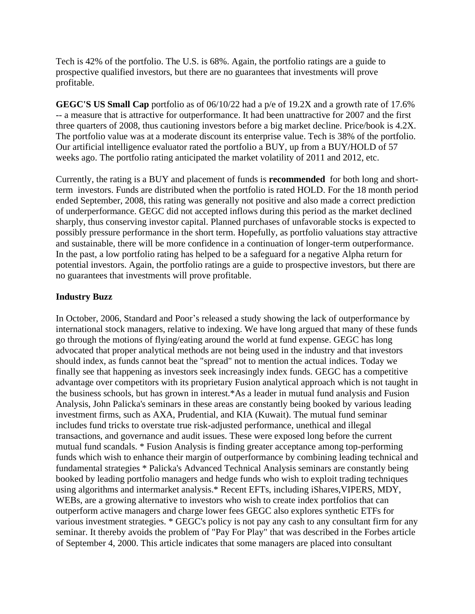Tech is 42% of the portfolio. The U.S. is 68%. Again, the portfolio ratings are a guide to prospective qualified investors, but there are no guarantees that investments will prove profitable.

**GEGC'S US Small Cap** portfolio as of 06/10/22 had a p/e of 19.2X and a growth rate of 17.6% -- a measure that is attractive for outperformance. It had been unattractive for 2007 and the first three quarters of 2008, thus cautioning investors before a big market decline. Price/book is 4.2X. The portfolio value was at a moderate discount its enterprise value. Tech is 38% of the portfolio. Our artificial intelligence evaluator rated the portfolio a BUY, up from a BUY/HOLD of 57 weeks ago. The portfolio rating anticipated the market volatility of 2011 and 2012, etc.

Currently, the rating is a BUY and placement of funds is **recommended** for both long and shortterm investors. Funds are distributed when the portfolio is rated HOLD. For the 18 month period ended September, 2008, this rating was generally not positive and also made a correct prediction of underperformance. GEGC did not accepted inflows during this period as the market declined sharply, thus conserving investor capital. Planned purchases of unfavorable stocks is expected to possibly pressure performance in the short term. Hopefully, as portfolio valuations stay attractive and sustainable, there will be more confidence in a continuation of longer-term outperformance. In the past, a low portfolio rating has helped to be a safeguard for a negative Alpha return for potential investors. Again, the portfolio ratings are a guide to prospective investors, but there are no guarantees that investments will prove profitable.

#### **Industry Buzz**

In October, 2006, Standard and Poor's released a study showing the lack of outperformance by international stock managers, relative to indexing. We have long argued that many of these funds go through the motions of flying/eating around the world at fund expense. GEGC has long advocated that proper analytical methods are not being used in the industry and that investors should index, as funds cannot beat the "spread" not to mention the actual indices. Today we finally see that happening as investors seek increasingly index funds. GEGC has a competitive advantage over competitors with its proprietary Fusion analytical approach which is not taught in the business schools, but has grown in interest.\*As a leader in mutual fund analysis and Fusion Analysis, John Palicka's seminars in these areas are constantly being booked by various leading investment firms, such as AXA, Prudential, and KIA (Kuwait). The mutual fund seminar includes fund tricks to overstate true risk-adjusted performance, unethical and illegal transactions, and governance and audit issues. These were exposed long before the current mutual fund scandals. \* Fusion Analysis is finding greater acceptance among top-performing funds which wish to enhance their margin of outperformance by combining leading technical and fundamental strategies \* Palicka's Advanced Technical Analysis seminars are constantly being booked by leading portfolio managers and hedge funds who wish to exploit trading techniques using algorithms and intermarket analysis.\* Recent EFTs, including iShares,VIPERS, MDY, WEBs, are a growing alternative to investors who wish to create index portfolios that can outperform active managers and charge lower fees GEGC also explores synthetic ETFs for various investment strategies. \* GEGC's policy is not pay any cash to any consultant firm for any seminar. It thereby avoids the problem of "Pay For Play" that was described in the Forbes article of September 4, 2000. This article indicates that some managers are placed into consultant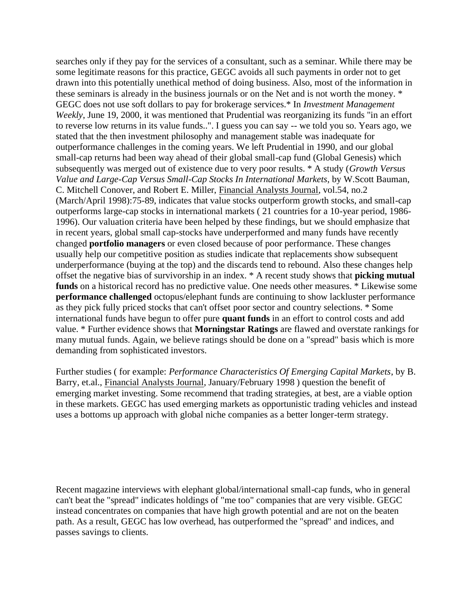searches only if they pay for the services of a consultant, such as a seminar. While there may be some legitimate reasons for this practice, GEGC avoids all such payments in order not to get drawn into this potentially unethical method of doing business. Also, most of the information in these seminars is already in the business journals or on the Net and is not worth the money. \* GEGC does not use soft dollars to pay for brokerage services.\* In *Investment Management Weekly*, June 19, 2000, it was mentioned that Prudential was reorganizing its funds "in an effort to reverse low returns in its value funds..". I guess you can say -- we told you so. Years ago, we stated that the then investment philosophy and management stable was inadequate for outperformance challenges in the coming years. We left Prudential in 1990, and our global small-cap returns had been way ahead of their global small-cap fund (Global Genesis) which subsequently was merged out of existence due to very poor results. \* A study (*Growth Versus Value and Large-Cap Versus Small-Cap Stocks In International Markets*, by W.Scott Bauman, C. Mitchell Conover, and Robert E. Miller, Financial Analysts Journal, vol.54, no.2 (March/April 1998):75-89, indicates that value stocks outperform growth stocks, and small-cap outperforms large-cap stocks in international markets ( 21 countries for a 10-year period, 1986- 1996). Our valuation criteria have been helped by these findings, but we should emphasize that in recent years, global small cap-stocks have underperformed and many funds have recently changed **portfolio managers** or even closed because of poor performance. These changes usually help our competitive position as studies indicate that replacements show subsequent underperformance (buying at the top) and the discards tend to rebound. Also these changes help offset the negative bias of survivorship in an index. \* A recent study shows that **picking mutual funds** on a historical record has no predictive value. One needs other measures. \* Likewise some **performance challenged** octopus/elephant funds are continuing to show lackluster performance as they pick fully priced stocks that can't offset poor sector and country selections. \* Some international funds have begun to offer pure **quant funds** in an effort to control costs and add value. \* Further evidence shows that **Morningstar Ratings** are flawed and overstate rankings for many mutual funds. Again, we believe ratings should be done on a "spread" basis which is more demanding from sophisticated investors.

Further studies ( for example: *Performance Characteristics Of Emerging Capital Markets*, by B. Barry, et.al., Financial Analysts Journal, January/February 1998 ) question the benefit of emerging market investing. Some recommend that trading strategies, at best, are a viable option in these markets. GEGC has used emerging markets as opportunistic trading vehicles and instead uses a bottoms up approach with global niche companies as a better longer-term strategy.

Recent magazine interviews with elephant global/international small-cap funds, who in general can't beat the "spread" indicates holdings of "me too" companies that are very visible. GEGC instead concentrates on companies that have high growth potential and are not on the beaten path. As a result, GEGC has low overhead, has outperformed the "spread" and indices, and passes savings to clients.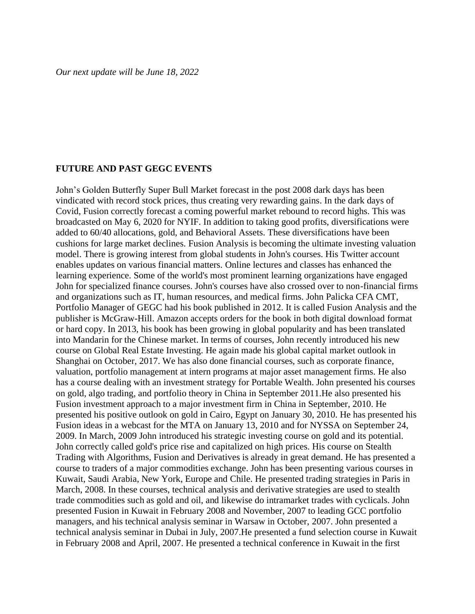#### **FUTURE AND PAST GEGC EVENTS**

John's Golden Butterfly Super Bull Market forecast in the post 2008 dark days has been vindicated with record stock prices, thus creating very rewarding gains. In the dark days of Covid, Fusion correctly forecast a coming powerful market rebound to record highs. This was broadcasted on May 6, 2020 for NYIF. In addition to taking good profits, diversifications were added to 60/40 allocations, gold, and Behavioral Assets. These diversifications have been cushions for large market declines. Fusion Analysis is becoming the ultimate investing valuation model. There is growing interest from global students in John's courses. His Twitter account enables updates on various financial matters. Online lectures and classes has enhanced the learning experience. Some of the world's most prominent learning organizations have engaged John for specialized finance courses. John's courses have also crossed over to non-financial firms and organizations such as IT, human resources, and medical firms. John Palicka CFA CMT, Portfolio Manager of GEGC had his book published in 2012. It is called Fusion Analysis and the publisher is McGraw-Hill. Amazon accepts orders for the book in both digital download format or hard copy. In 2013, his book has been growing in global popularity and has been translated into Mandarin for the Chinese market. In terms of courses, John recently introduced his new course on Global Real Estate Investing. He again made his global capital market outlook in Shanghai on October, 2017. We has also done financial courses, such as corporate finance, valuation, portfolio management at intern programs at major asset management firms. He also has a course dealing with an investment strategy for Portable Wealth. John presented his courses on gold, algo trading, and portfolio theory in China in September 2011.He also presented his Fusion investment approach to a major investment firm in China in September, 2010. He presented his positive outlook on gold in Cairo, Egypt on January 30, 2010. He has presented his Fusion ideas in a webcast for the MTA on January 13, 2010 and for NYSSA on September 24, 2009. In March, 2009 John introduced his strategic investing course on gold and its potential. John correctly called gold's price rise and capitalized on high prices. His course on Stealth Trading with Algorithms, Fusion and Derivatives is already in great demand. He has presented a course to traders of a major commodities exchange. John has been presenting various courses in Kuwait, Saudi Arabia, New York, Europe and Chile. He presented trading strategies in Paris in March, 2008. In these courses, technical analysis and derivative strategies are used to stealth trade commodities such as gold and oil, and likewise do intramarket trades with cyclicals. John presented Fusion in Kuwait in February 2008 and November, 2007 to leading GCC portfolio managers, and his technical analysis seminar in Warsaw in October, 2007. John presented a technical analysis seminar in Dubai in July, 2007.He presented a fund selection course in Kuwait in February 2008 and April, 2007. He presented a technical conference in Kuwait in the first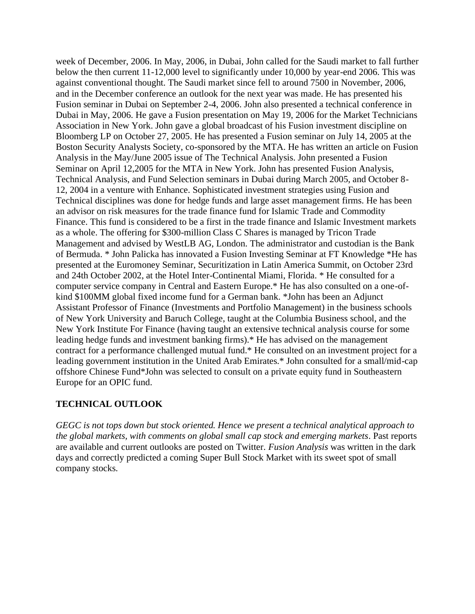week of December, 2006. In May, 2006, in Dubai, John called for the Saudi market to fall further below the then current 11-12,000 level to significantly under 10,000 by year-end 2006. This was against conventional thought. The Saudi market since fell to around 7500 in November, 2006, and in the December conference an outlook for the next year was made. He has presented his Fusion seminar in Dubai on September 2-4, 2006. John also presented a technical conference in Dubai in May, 2006. He gave a Fusion presentation on May 19, 2006 for the Market Technicians Association in New York. John gave a global broadcast of his Fusion investment discipline on Bloomberg LP on October 27, 2005. He has presented a Fusion seminar on July 14, 2005 at the Boston Security Analysts Society, co-sponsored by the MTA. He has written an article on Fusion Analysis in the May/June 2005 issue of The Technical Analysis. John presented a Fusion Seminar on April 12,2005 for the MTA in New York. John has presented Fusion Analysis, Technical Analysis, and Fund Selection seminars in Dubai during March 2005, and October 8- 12, 2004 in a venture with Enhance. Sophisticated investment strategies using Fusion and Technical disciplines was done for hedge funds and large asset management firms. He has been an advisor on risk measures for the trade finance fund for Islamic Trade and Commodity Finance. This fund is considered to be a first in the trade finance and Islamic Investment markets as a whole. The offering for \$300-million Class C Shares is managed by Tricon Trade Management and advised by WestLB AG, London. The administrator and custodian is the Bank of Bermuda. \* John Palicka has innovated a Fusion Investing Seminar at FT Knowledge \*He has presented at the Euromoney Seminar, Securitization in Latin America Summit, on October 23rd and 24th October 2002, at the Hotel Inter-Continental Miami, Florida. \* He consulted for a computer service company in Central and Eastern Europe.\* He has also consulted on a one-ofkind \$100MM global fixed income fund for a German bank. \*John has been an Adjunct Assistant Professor of Finance (Investments and Portfolio Management) in the business schools of New York University and Baruch College, taught at the Columbia Business school, and the New York Institute For Finance (having taught an extensive technical analysis course for some leading hedge funds and investment banking firms).\* He has advised on the management contract for a performance challenged mutual fund.\* He consulted on an investment project for a leading government institution in the United Arab Emirates.\* John consulted for a small/mid-cap offshore Chinese Fund\*John was selected to consult on a private equity fund in Southeastern Europe for an OPIC fund.

#### **TECHNICAL OUTLOOK**

*GEGC is not tops down but stock oriented. Hence we present a technical analytical approach to the global markets, with comments on global small cap stock and emerging markets*. Past reports are available and current outlooks are posted on Twitter. *Fusion Analysis* was written in the dark days and correctly predicted a coming Super Bull Stock Market with its sweet spot of small company stocks.